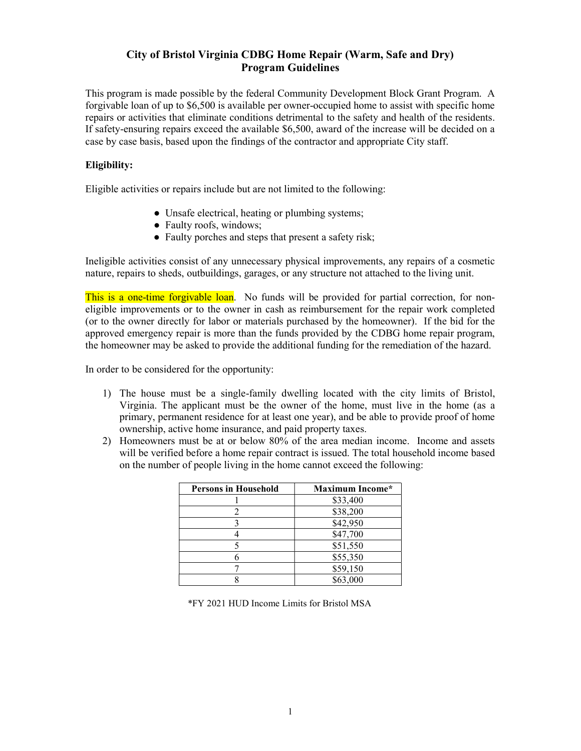## City of Bristol Virginia CDBG Home Repair (Warm, Safe and Dry) Program Guidelines

This program is made possible by the federal Community Development Block Grant Program. A forgivable loan of up to \$6,500 is available per owner-occupied home to assist with specific home repairs or activities that eliminate conditions detrimental to the safety and health of the residents. If safety-ensuring repairs exceed the available \$6,500, award of the increase will be decided on a case by case basis, based upon the findings of the contractor and appropriate City staff.

## Eligibility:

Eligible activities or repairs include but are not limited to the following:

- Unsafe electrical, heating or plumbing systems;
- Faulty roofs, windows;
- Faulty porches and steps that present a safety risk;

Ineligible activities consist of any unnecessary physical improvements, any repairs of a cosmetic nature, repairs to sheds, outbuildings, garages, or any structure not attached to the living unit.

This is a one-time forgivable loan. No funds will be provided for partial correction, for noneligible improvements or to the owner in cash as reimbursement for the repair work completed (or to the owner directly for labor or materials purchased by the homeowner). If the bid for the approved emergency repair is more than the funds provided by the CDBG home repair program, the homeowner may be asked to provide the additional funding for the remediation of the hazard.

In order to be considered for the opportunity:

- 1) The house must be a single-family dwelling located with the city limits of Bristol, Virginia. The applicant must be the owner of the home, must live in the home (as a primary, permanent residence for at least one year), and be able to provide proof of home ownership, active home insurance, and paid property taxes.
- 2) Homeowners must be at or below 80% of the area median income. Income and assets will be verified before a home repair contract is issued. The total household income based on the number of people living in the home cannot exceed the following:

| <b>Persons in Household</b> | <b>Maximum Income*</b> |
|-----------------------------|------------------------|
|                             | \$33,400               |
|                             | \$38,200               |
|                             | \$42,950               |
|                             | \$47,700               |
|                             | \$51,550               |
|                             | \$55,350               |
|                             | \$59,150               |
|                             | \$63,000               |

\*FY 2021 HUD Income Limits for Bristol MSA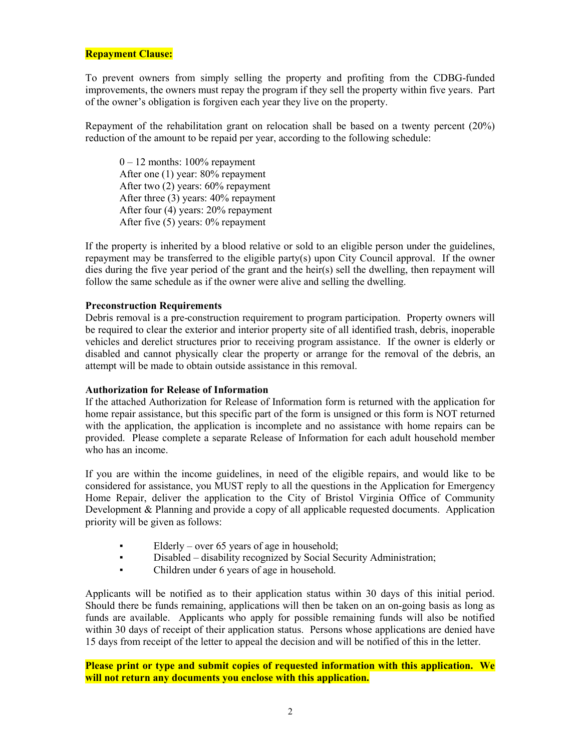### Repayment Clause:

To prevent owners from simply selling the property and profiting from the CDBG-funded improvements, the owners must repay the program if they sell the property within five years. Part of the owner's obligation is forgiven each year they live on the property.

Repayment of the rehabilitation grant on relocation shall be based on a twenty percent (20%) reduction of the amount to be repaid per year, according to the following schedule:

 $0 - 12$  months: 100% repayment After one (1) year: 80% repayment After two (2) years: 60% repayment After three (3) years: 40% repayment After four (4) years: 20% repayment After five (5) years: 0% repayment

If the property is inherited by a blood relative or sold to an eligible person under the guidelines, repayment may be transferred to the eligible party(s) upon City Council approval. If the owner dies during the five year period of the grant and the heir(s) sell the dwelling, then repayment will follow the same schedule as if the owner were alive and selling the dwelling.

### Preconstruction Requirements

Debris removal is a pre-construction requirement to program participation. Property owners will be required to clear the exterior and interior property site of all identified trash, debris, inoperable vehicles and derelict structures prior to receiving program assistance. If the owner is elderly or disabled and cannot physically clear the property or arrange for the removal of the debris, an attempt will be made to obtain outside assistance in this removal.

#### Authorization for Release of Information

If the attached Authorization for Release of Information form is returned with the application for home repair assistance, but this specific part of the form is unsigned or this form is NOT returned with the application, the application is incomplete and no assistance with home repairs can be provided. Please complete a separate Release of Information for each adult household member who has an income.

If you are within the income guidelines, in need of the eligible repairs, and would like to be considered for assistance, you MUST reply to all the questions in the Application for Emergency Home Repair, deliver the application to the City of Bristol Virginia Office of Community Development & Planning and provide a copy of all applicable requested documents. Application priority will be given as follows:

- Elderly over 65 years of age in household;
- Disabled disability recognized by Social Security Administration;
- Children under 6 years of age in household.

Applicants will be notified as to their application status within 30 days of this initial period. Should there be funds remaining, applications will then be taken on an on-going basis as long as funds are available. Applicants who apply for possible remaining funds will also be notified within 30 days of receipt of their application status. Persons whose applications are denied have 15 days from receipt of the letter to appeal the decision and will be notified of this in the letter.

Please print or type and submit copies of requested information with this application. We will not return any documents you enclose with this application.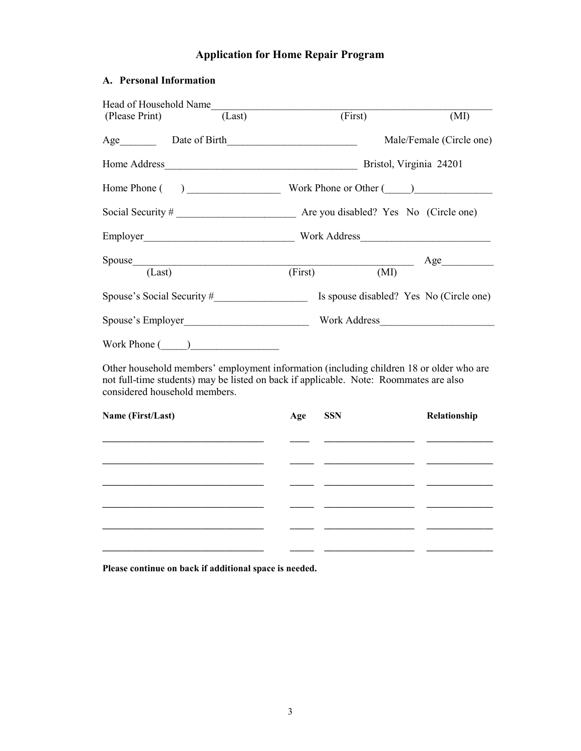# Application for Home Repair Program

# A. Personal Information

| Head of Household Name                                                                                                                                                                                            |        |                              |         |                                         |
|-------------------------------------------------------------------------------------------------------------------------------------------------------------------------------------------------------------------|--------|------------------------------|---------|-----------------------------------------|
| (Please Print)                                                                                                                                                                                                    | (Last) |                              | (First) | (MI)                                    |
|                                                                                                                                                                                                                   |        |                              |         | Male/Female (Circle one)                |
|                                                                                                                                                                                                                   |        |                              |         | Bristol, Virginia 24201                 |
|                                                                                                                                                                                                                   |        |                              |         |                                         |
|                                                                                                                                                                                                                   |        |                              |         |                                         |
|                                                                                                                                                                                                                   |        |                              |         |                                         |
| $S \text{pouse}$ $(Last)$ $(Kirst)$ $(MI)$ $Age$                                                                                                                                                                  |        |                              |         |                                         |
|                                                                                                                                                                                                                   |        |                              |         |                                         |
|                                                                                                                                                                                                                   |        |                              |         | Is spouse disabled? Yes No (Circle one) |
|                                                                                                                                                                                                                   |        |                              |         |                                         |
| Work Phone $(\_\_)$                                                                                                                                                                                               |        |                              |         |                                         |
| Other household members' employment information (including children 18 or older who are<br>not full-time students) may be listed on back if applicable. Note: Roommates are also<br>considered household members. |        |                              |         |                                         |
| Name (First/I ast)                                                                                                                                                                                                |        | $\Lambda_{\alpha\alpha}$ CCN |         | 1. Relationship                         |

| Name (First/Last) | Age | <b>SSN</b> | Relationship |
|-------------------|-----|------------|--------------|
|                   |     |            |              |
|                   |     |            |              |
|                   |     |            |              |
|                   |     |            |              |
|                   |     |            |              |
|                   |     |            |              |

Please continue on back if additional space is needed.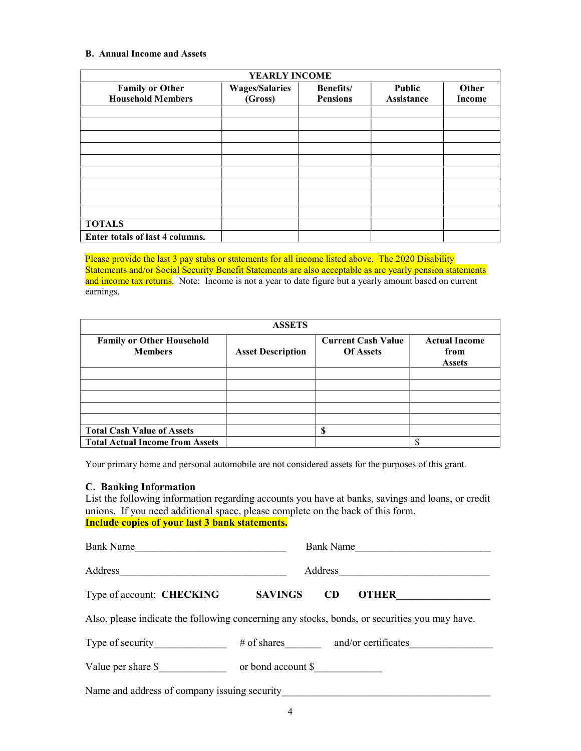#### B. Annual Income and Assets

| YEARLY INCOME                                      |                                  |                                      |                             |                 |  |
|----------------------------------------------------|----------------------------------|--------------------------------------|-----------------------------|-----------------|--|
| <b>Family or Other</b><br><b>Household Members</b> | <b>Wages/Salaries</b><br>(Gross) | <b>Benefits</b> /<br><b>Pensions</b> | <b>Public</b><br>Assistance | Other<br>Income |  |
|                                                    |                                  |                                      |                             |                 |  |
|                                                    |                                  |                                      |                             |                 |  |
|                                                    |                                  |                                      |                             |                 |  |
|                                                    |                                  |                                      |                             |                 |  |
|                                                    |                                  |                                      |                             |                 |  |
|                                                    |                                  |                                      |                             |                 |  |
|                                                    |                                  |                                      |                             |                 |  |
|                                                    |                                  |                                      |                             |                 |  |
|                                                    |                                  |                                      |                             |                 |  |
| <b>TOTALS</b>                                      |                                  |                                      |                             |                 |  |
| Enter totals of last 4 columns.                    |                                  |                                      |                             |                 |  |

Please provide the last 3 pay stubs or statements for all income listed above. The 2020 Disability Statements and/or Social Security Benefit Statements are also acceptable as are yearly pension statements and income tax returns. Note: Income is not a year to date figure but a yearly amount based on current earnings.

| <b>ASSETS</b>                                      |                          |                                               |                                               |  |  |
|----------------------------------------------------|--------------------------|-----------------------------------------------|-----------------------------------------------|--|--|
| <b>Family or Other Household</b><br><b>Members</b> | <b>Asset Description</b> | <b>Current Cash Value</b><br><b>Of Assets</b> | <b>Actual Income</b><br>from<br><b>Assets</b> |  |  |
|                                                    |                          |                                               |                                               |  |  |
|                                                    |                          |                                               |                                               |  |  |
|                                                    |                          |                                               |                                               |  |  |
|                                                    |                          |                                               |                                               |  |  |
|                                                    |                          |                                               |                                               |  |  |
| <b>Total Cash Value of Assets</b>                  |                          | ጡ                                             |                                               |  |  |
| <b>Total Actual Income from Assets</b>             |                          |                                               |                                               |  |  |

Your primary home and personal automobile are not considered assets for the purposes of this grant.

#### C. Banking Information

List the following information regarding accounts you have at banks, savings and loans, or credit unions. If you need additional space, please complete on the back of this form. Include copies of your last 3 bank statements.

| <b>Bank Name</b>                                                                              |                    | <b>Bank Name</b> |                     |
|-----------------------------------------------------------------------------------------------|--------------------|------------------|---------------------|
| Address                                                                                       | Address            |                  |                     |
| Type of account: CHECKING                                                                     | <b>SAVINGS</b>     | <b>CD</b>        | <b>OTHER</b>        |
| Also, please indicate the following concerning any stocks, bonds, or securities you may have. |                    |                  |                     |
| Type of security                                                                              | $\#$ of shares     |                  | and/or certificates |
| Value per share \$                                                                            | or bond account \$ |                  |                     |
| Name and address of company issuing security                                                  |                    |                  |                     |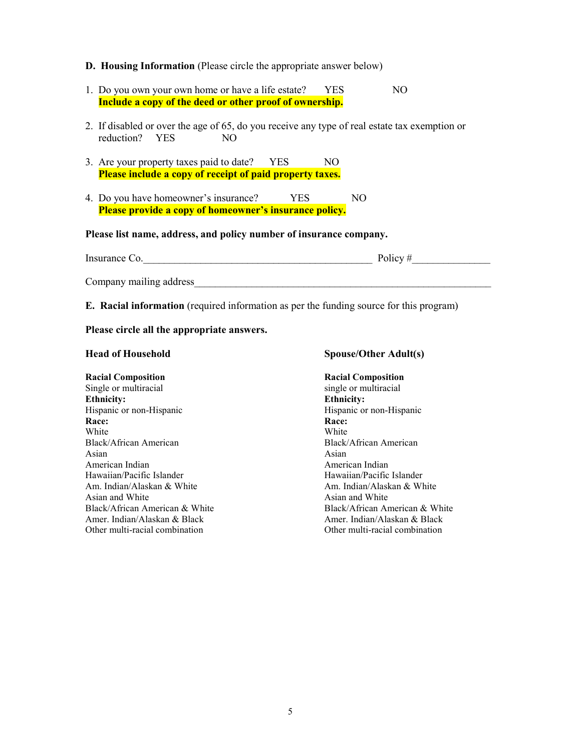#### D. Housing Information (Please circle the appropriate answer below)

- 1. Do you own your own home or have a life estate? YES NO Include a copy of the deed or other proof of ownership.
- 2. If disabled or over the age of 65, do you receive any type of real estate tax exemption or reduction? YES NO
- 3. Are your property taxes paid to date? YES NO Please include a copy of receipt of paid property taxes.
- 4. Do you have homeowner's insurance? YES NO Please provide a copy of homeowner's insurance policy.

## Please list name, address, and policy number of insurance company.

| Insurance Co.           | Policy# |
|-------------------------|---------|
|                         |         |
| Company mailing address |         |

E. Racial information (required information as per the funding source for this program)

#### Please circle all the appropriate answers.

#### Head of Household Spouse/Other Adult(s)

#### Racial Composition Racial Composition Single or multiracial single or multiracial single or multiracial Ethnicity: Ethnicity: Hispanic or non-Hispanic de Alexander Hispanic Hispanic or non-Hispanic or non-Hispanic Race: Race: White White White Black/African American Black/African American Asian Asian Asian Asian Asian American Indian American Indian Hawaiian/Pacific Islander Hawaiian/Pacific Islander Am. Indian/Alaskan & White Am. Indian/Alaskan & White Asian and White Asian and White Black/African American & White Black/African American & White Black/African American & White Amer. Indian/Alaskan & Black Amer. Indian/Alaskan & Black Other multi-racial combination Other multi-racial combination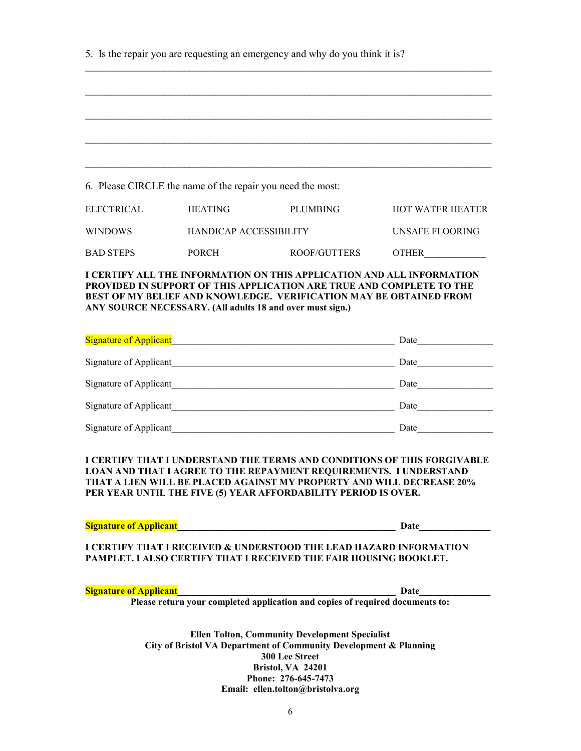|  | 5. Is the repair you are requesting an emergency and why do you think it is? |  |  |
|--|------------------------------------------------------------------------------|--|--|
|  |                                                                              |  |  |

| 6. Please CIRCLE the name of the repair you need the most:                                                                        |                               |                                                                                                                                                          |                         |
|-----------------------------------------------------------------------------------------------------------------------------------|-------------------------------|----------------------------------------------------------------------------------------------------------------------------------------------------------|-------------------------|
| <b>ELECTRICAL</b>                                                                                                                 | <b>HEATING</b>                | <b>PLUMBING</b>                                                                                                                                          | <b>HOT WATER HEATER</b> |
| <b>WINDOWS</b>                                                                                                                    | <b>HANDICAP ACCESSIBILITY</b> |                                                                                                                                                          | UNSAFE FLOORING         |
| <b>BAD STEPS</b>                                                                                                                  | <b>PORCH</b>                  | ROOF/GUTTERS                                                                                                                                             | <b>OTHER</b>            |
|                                                                                                                                   |                               | I CERTIFY ALL THE INFORMATION ON THIS APPLICATION AND ALL INFORMATION                                                                                    |                         |
|                                                                                                                                   |                               | <b>PROVIDED IN SUPPORT OF THIS APPLICATION ARE TRUE AND COMPLETE TO THE</b><br><b>BEST OF MY BELIEF AND KNOWLEDGE. VERIFICATION MAY BE OBTAINED FROM</b> |                         |
|                                                                                                                                   |                               | ANY SOURCE NECESSARY. (All adults 18 and over must sign.)                                                                                                |                         |
| $\alpha$ : $\alpha$ , $\alpha$ , $\alpha$ , $\alpha$ , $\alpha$ , $\alpha$ , $\alpha$ , $\alpha$ , $\alpha$ , $\alpha$ , $\alpha$ |                               |                                                                                                                                                          | $D_{\rm min}$           |

| <b>Signature of Applicant</b> | Date |
|-------------------------------|------|
| Signature of Applicant        | Date |
| Signature of Applicant        | Date |
| Signature of Applicant        | Date |
| Signature of Applicant        | Date |

I CERTIFY THAT I UNDERSTAND THE TERMS AND CONDITIONS OF THIS FORGIVABLE LOAN AND THAT I AGREE TO THE REPAYMENT REQUIREMENTS. I UNDERSTAND THAT A LIEN WILL BE PLACED AGAINST MY PROPERTY AND WILL DECREASE 20% PER YEAR UNTIL THE FIVE (5) YEAR AFFORDABILITY PERIOD IS OVER.

|  |  |  | <b>Signature of Applicant</b> |  |
|--|--|--|-------------------------------|--|
|  |  |  |                               |  |

 $\Box$  Date

I CERTIFY THAT I RECEIVED & UNDERSTOOD THE LEAD HAZARD INFORMATION PAMPLET. I ALSO CERTIFY THAT I RECEIVED THE FAIR HOUSING BOOKLET.

Signature of Applicant\_\_\_\_\_\_\_\_\_\_\_\_\_\_\_\_\_\_\_\_\_\_\_\_\_\_\_\_\_\_\_\_\_\_\_\_\_\_\_\_\_\_\_\_\_\_ Date\_\_\_\_\_\_\_\_\_\_\_\_\_\_\_

Please return your completed application and copies of required documents to:

Ellen Tolton, Community Development Specialist City of Bristol VA Department of Community Development & Planning 300 Lee Street Bristol, VA 24201 Phone: 276-645-7473 Email: ellen.tolton@bristolva.org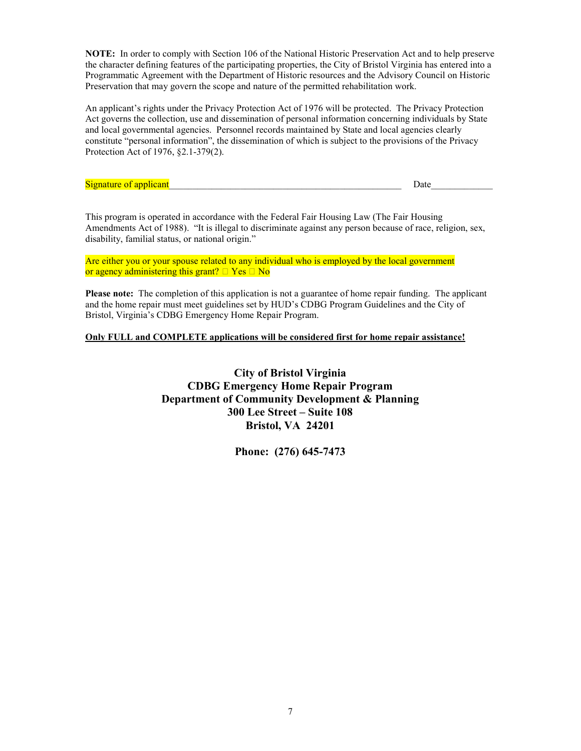NOTE: In order to comply with Section 106 of the National Historic Preservation Act and to help preserve the character defining features of the participating properties, the City of Bristol Virginia has entered into a Programmatic Agreement with the Department of Historic resources and the Advisory Council on Historic Preservation that may govern the scope and nature of the permitted rehabilitation work.

An applicant's rights under the Privacy Protection Act of 1976 will be protected. The Privacy Protection Act governs the collection, use and dissemination of personal information concerning individuals by State and local governmental agencies. Personnel records maintained by State and local agencies clearly constitute "personal information", the dissemination of which is subject to the provisions of the Privacy Protection Act of 1976, §2.1-379(2).

| <b>CONT</b>  |       |  |
|--------------|-------|--|
| м<br>œ<br>-- | ึ้นเข |  |

This program is operated in accordance with the Federal Fair Housing Law (The Fair Housing Amendments Act of 1988). "It is illegal to discriminate against any person because of race, religion, sex, disability, familial status, or national origin."

Are either you or your spouse related to any individual who is employed by the local government or agency administering this grant?  $\Box$  Yes  $\Box$  No

Please note: The completion of this application is not a guarantee of home repair funding. The applicant and the home repair must meet guidelines set by HUD's CDBG Program Guidelines and the City of Bristol, Virginia's CDBG Emergency Home Repair Program.

#### Only FULL and COMPLETE applications will be considered first for home repair assistance!

City of Bristol Virginia CDBG Emergency Home Repair Program Department of Community Development & Planning 300 Lee Street – Suite 108 Bristol, VA 24201

Phone: (276) 645-7473